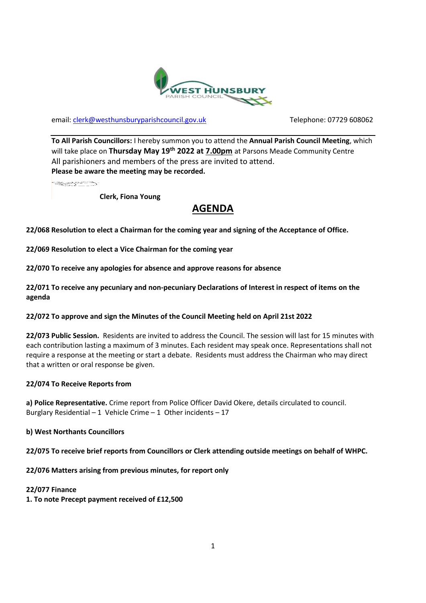

email: [clerk@westhunsburyparishcouncil.gov.uk](mailto:clerk@westhunsburyparishcouncil.gov.uk) Telephone: 07729 608062

**To All Parish Councillors:** I hereby summon you to attend the **Annual Parish Council Meeting**, which will take place on **Thursday May 19th 2022 at 7.00pm** at Parsons Meade Community Centre All parishioners and members of the press are invited to attend. **Please be aware the meeting may be recorded.**

**SECTION** 

**Clerk, Fiona Young**

# **AGENDA**

**22/068 Resolution to elect a Chairman for the coming year and signing of the Acceptance of Office.** 

**22/069 Resolution to elect a Vice Chairman for the coming year**

**22/070 To receive any apologies for absence and approve reasons for absence**

**22/071 To receive any pecuniary and non-pecuniary Declarations of Interest in respect of items on the agenda**

#### **22/072 To approve and sign the Minutes of the Council Meeting held on April 21st 2022**

**22/073 Public Session.** Residents are invited to address the Council. The session will last for 15 minutes with each contribution lasting a maximum of 3 minutes. Each resident may speak once. Representations shall not require a response at the meeting or start a debate. Residents must address the Chairman who may direct that a written or oral response be given.

#### **22/074 To Receive Reports from**

**a) Police Representative.** Crime report from Police Officer David Okere, details circulated to council. Burglary Residential – 1 Vehicle Crime – 1 Other incidents – 17

**b) West Northants Councillors**

**22/075 To receive brief reports from Councillors or Clerk attending outside meetings on behalf of WHPC.** 

**22/076 Matters arising from previous minutes, for report only**

### **22/077 Finance**

**1. To note Precept payment received of £12,500**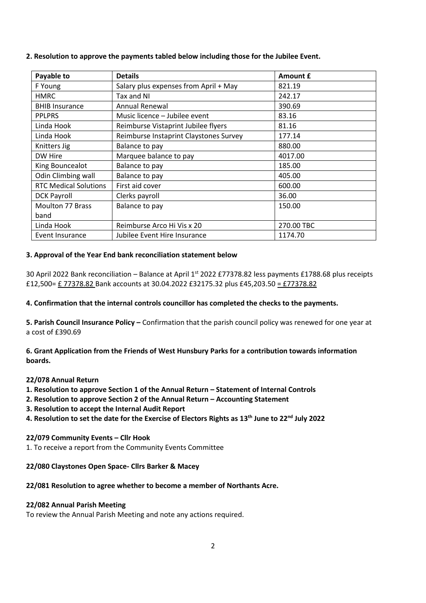| Payable to                   | <b>Details</b>                         | Amount £   |
|------------------------------|----------------------------------------|------------|
| F Young                      | Salary plus expenses from April + May  | 821.19     |
| <b>HMRC</b>                  | Tax and NI                             | 242.17     |
| <b>BHIB Insurance</b>        | <b>Annual Renewal</b>                  | 390.69     |
| <b>PPLPRS</b>                | Music licence - Jubilee event          | 83.16      |
| Linda Hook                   | Reimburse Vistaprint Jubilee flyers    | 81.16      |
| Linda Hook                   | Reimburse Instaprint Claystones Survey | 177.14     |
| Knitters Jig                 | Balance to pay                         | 880.00     |
| DW Hire                      | Marquee balance to pay                 | 4017.00    |
| King Bouncealot              | Balance to pay                         | 185.00     |
| Odin Climbing wall           | Balance to pay                         | 405.00     |
| <b>RTC Medical Solutions</b> | First aid cover                        | 600.00     |
| <b>DCK Payroll</b>           | Clerks payroll                         | 36.00      |
| <b>Moulton 77 Brass</b>      | Balance to pay                         | 150.00     |
| band                         |                                        |            |
| Linda Hook                   | Reimburse Arco Hi Vis x 20             | 270.00 TBC |
| Event Insurance              | Jubilee Event Hire Insurance           | 1174.70    |

#### **2. Resolution to approve the payments tabled below including those for the Jubilee Event.**

#### **3. Approval of the Year End bank reconciliation statement below**

30 April 2022 Bank reconciliation – Balance at April 1<sup>st</sup> 2022 £77378.82 less payments £1788.68 plus receipts £12,500= £ 77378.82 Bank accounts at 30.04.2022 £32175.32 plus £45,203.50 = £77378.82

#### **4. Confirmation that the internal controls councillor has completed the checks to the payments.**

**5. Parish Council Insurance Policy –** Confirmation that the parish council policy was renewed for one year at a cost of £390.69

**6. Grant Application from the Friends of West Hunsbury Parks for a contribution towards information boards.**

#### **22/078 Annual Return**

- **1. Resolution to approve Section 1 of the Annual Return – Statement of Internal Controls**
- **2. Resolution to approve Section 2 of the Annual Return – Accounting Statement**
- **3. Resolution to accept the Internal Audit Report**
- **4. Resolution to set the date for the Exercise of Electors Rights as 13th June to 22nd July 2022**

#### **22/079 Community Events – Cllr Hook**

1. To receive a report from the Community Events Committee

#### **22/080 Claystones Open Space- Cllrs Barker & Macey**

#### **22/081 Resolution to agree whether to become a member of Northants Acre.**

#### **22/082 Annual Parish Meeting**

To review the Annual Parish Meeting and note any actions required.